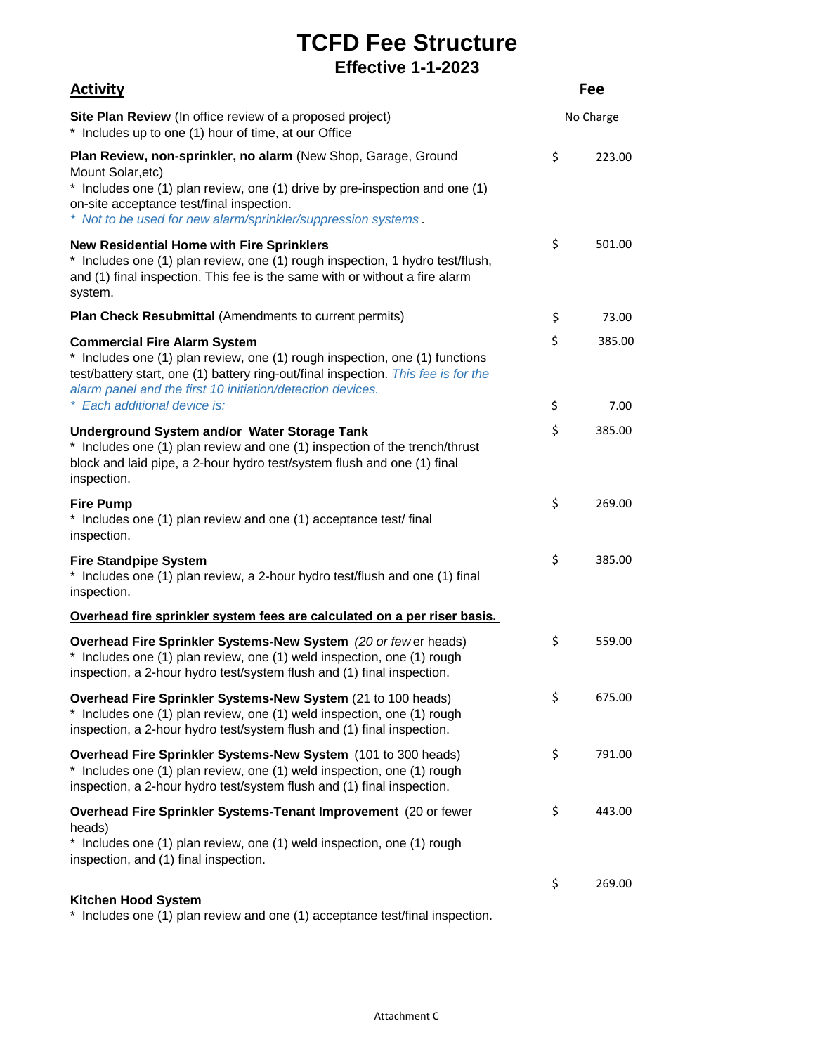## **TCFD Fee Structure**

**Effective 1-1-2023**

| <b>Activity</b><br>Site Plan Review (In office review of a proposed project)<br>* Includes up to one (1) hour of time, at our Office                                                                                                                                                                   |          | Fee<br>No Charge |  |
|--------------------------------------------------------------------------------------------------------------------------------------------------------------------------------------------------------------------------------------------------------------------------------------------------------|----------|------------------|--|
|                                                                                                                                                                                                                                                                                                        |          |                  |  |
| <b>New Residential Home with Fire Sprinklers</b><br>* Includes one (1) plan review, one (1) rough inspection, 1 hydro test/flush,<br>and (1) final inspection. This fee is the same with or without a fire alarm<br>system.                                                                            | \$       | 501.00           |  |
| Plan Check Resubmittal (Amendments to current permits)                                                                                                                                                                                                                                                 | \$       | 73.00            |  |
| <b>Commercial Fire Alarm System</b><br>* Includes one (1) plan review, one (1) rough inspection, one (1) functions<br>test/battery start, one (1) battery ring-out/final inspection. This fee is for the<br>alarm panel and the first 10 initiation/detection devices.<br>* Each additional device is: | \$<br>\$ | 385.00<br>7.00   |  |
| Underground System and/or Water Storage Tank<br>* Includes one (1) plan review and one (1) inspection of the trench/thrust<br>block and laid pipe, a 2-hour hydro test/system flush and one (1) final<br>inspection.                                                                                   | \$       | 385.00           |  |
| <b>Fire Pump</b><br>* Includes one (1) plan review and one (1) acceptance test/final<br>inspection.                                                                                                                                                                                                    | \$       | 269.00           |  |
| <b>Fire Standpipe System</b><br>* Includes one (1) plan review, a 2-hour hydro test/flush and one (1) final<br>inspection.                                                                                                                                                                             | \$       | 385.00           |  |
| Overhead fire sprinkler system fees are calculated on a per riser basis.                                                                                                                                                                                                                               |          |                  |  |
| Overhead Fire Sprinkler Systems-New System (20 or fewer heads)<br>* Includes one (1) plan review, one (1) weld inspection, one (1) rough<br>inspection, a 2-hour hydro test/system flush and (1) final inspection.                                                                                     | \$       | 559.00           |  |
| Overhead Fire Sprinkler Systems-New System (21 to 100 heads)<br>* Includes one (1) plan review, one (1) weld inspection, one (1) rough<br>inspection, a 2-hour hydro test/system flush and (1) final inspection.                                                                                       | \$       | 675.00           |  |
| Overhead Fire Sprinkler Systems-New System (101 to 300 heads)<br>* Includes one (1) plan review, one (1) weld inspection, one (1) rough<br>inspection, a 2-hour hydro test/system flush and (1) final inspection.                                                                                      | \$       | 791.00           |  |
| Overhead Fire Sprinkler Systems-Tenant Improvement (20 or fewer                                                                                                                                                                                                                                        | \$       | 443.00           |  |
| heads)<br>* Includes one (1) plan review, one (1) weld inspection, one (1) rough<br>inspection, and (1) final inspection.                                                                                                                                                                              |          |                  |  |
|                                                                                                                                                                                                                                                                                                        | \$       | 269.00           |  |
| Kitchen Hood System                                                                                                                                                                                                                                                                                    |          |                  |  |

\* Includes one (1) plan review and one (1) acceptance test/final inspection.